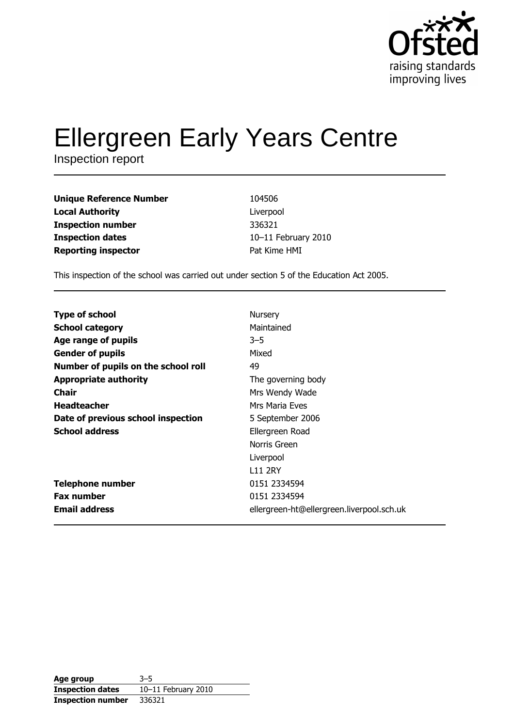

# Ellergreen Early Years Centre

| <b>Unique Reference Number</b> | 104506              |
|--------------------------------|---------------------|
| <b>Local Authority</b>         | Liverpool           |
| <b>Inspection number</b>       | 336321              |
| <b>Inspection dates</b>        | 10-11 February 2010 |
| <b>Reporting inspector</b>     | Pat Kime HMI        |

This inspection of the school was carried out under section 5 of the Education Act 2005.

| <b>Type of school</b>               | Nursery                                   |
|-------------------------------------|-------------------------------------------|
| <b>School category</b>              | Maintained                                |
| Age range of pupils                 | $3 - 5$                                   |
| <b>Gender of pupils</b>             | Mixed                                     |
| Number of pupils on the school roll | 49                                        |
| <b>Appropriate authority</b>        | The governing body                        |
| <b>Chair</b>                        | Mrs Wendy Wade                            |
| <b>Headteacher</b>                  | Mrs Maria Eves                            |
| Date of previous school inspection  | 5 September 2006                          |
| <b>School address</b>               | Ellergreen Road                           |
|                                     | Norris Green                              |
|                                     | Liverpool                                 |
|                                     | <b>L11 2RY</b>                            |
| <b>Telephone number</b>             | 0151 2334594                              |
| <b>Fax number</b>                   | 0151 2334594                              |
| <b>Email address</b>                | ellergreen-ht@ellergreen.liverpool.sch.uk |

| Age group                | $3 - 5$             |
|--------------------------|---------------------|
| <b>Inspection dates</b>  | 10-11 February 2010 |
| <b>Inspection number</b> | 336321              |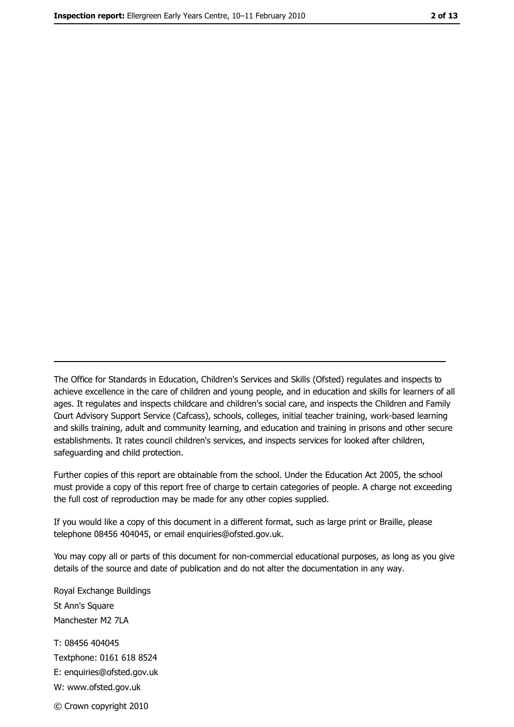The Office for Standards in Education, Children's Services and Skills (Ofsted) regulates and inspects to achieve excellence in the care of children and young people, and in education and skills for learners of all ages. It regulates and inspects childcare and children's social care, and inspects the Children and Family Court Advisory Support Service (Cafcass), schools, colleges, initial teacher training, work-based learning and skills training, adult and community learning, and education and training in prisons and other secure establishments. It rates council children's services, and inspects services for looked after children, safequarding and child protection.

Further copies of this report are obtainable from the school. Under the Education Act 2005, the school must provide a copy of this report free of charge to certain categories of people. A charge not exceeding the full cost of reproduction may be made for any other copies supplied.

If you would like a copy of this document in a different format, such as large print or Braille, please telephone 08456 404045, or email enquiries@ofsted.gov.uk.

You may copy all or parts of this document for non-commercial educational purposes, as long as you give details of the source and date of publication and do not alter the documentation in any way.

Royal Exchange Buildings St Ann's Square Manchester M2 7LA T: 08456 404045 Textphone: 0161 618 8524 E: enquiries@ofsted.gov.uk W: www.ofsted.gov.uk © Crown copyright 2010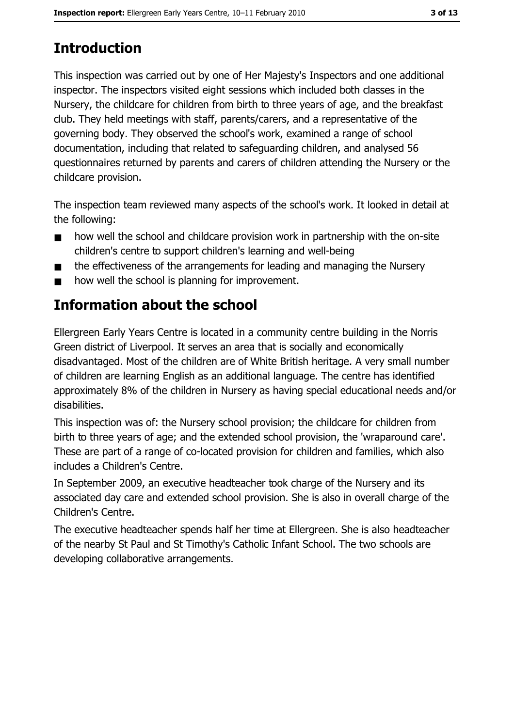# **Introduction**

This inspection was carried out by one of Her Majesty's Inspectors and one additional inspector. The inspectors visited eight sessions which included both classes in the Nursery, the childcare for children from birth to three years of age, and the breakfast club. They held meetings with staff, parents/carers, and a representative of the governing body. They observed the school's work, examined a range of school documentation, including that related to safeguarding children, and analysed 56 questionnaires returned by parents and carers of children attending the Nursery or the childcare provision.

The inspection team reviewed many aspects of the school's work. It looked in detail at the following:

- how well the school and childcare provision work in partnership with the on-site  $\blacksquare$ children's centre to support children's learning and well-being
- the effectiveness of the arrangements for leading and managing the Nursery  $\blacksquare$
- how well the school is planning for improvement.

# **Information about the school**

Ellergreen Early Years Centre is located in a community centre building in the Norris Green district of Liverpool. It serves an area that is socially and economically disadvantaged. Most of the children are of White British heritage. A very small number of children are learning English as an additional language. The centre has identified approximately 8% of the children in Nursery as having special educational needs and/or disabilities.

This inspection was of: the Nursery school provision; the childcare for children from birth to three years of age; and the extended school provision, the 'wraparound care'. These are part of a range of co-located provision for children and families, which also includes a Children's Centre.

In September 2009, an executive headteacher took charge of the Nursery and its associated day care and extended school provision. She is also in overall charge of the Children's Centre.

The executive headteacher spends half her time at Ellergreen. She is also headteacher of the nearby St Paul and St Timothy's Catholic Infant School. The two schools are developing collaborative arrangements.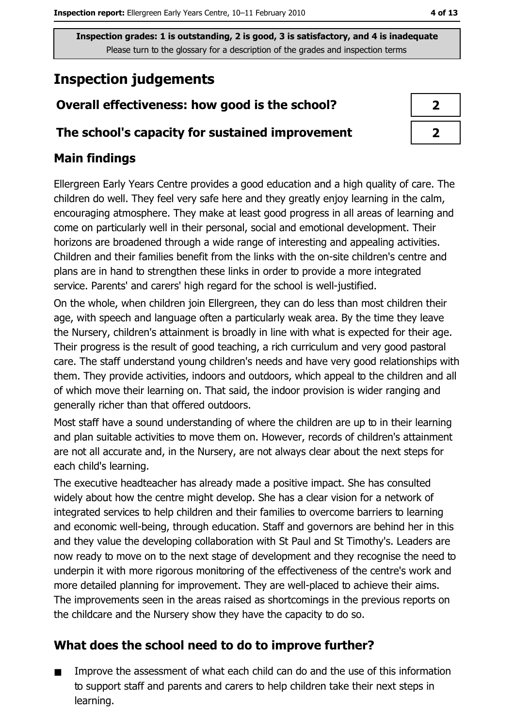# **Inspection judgements**

## Overall effectiveness: how good is the school?

#### The school's capacity for sustained improvement

## **Main findings**

Ellergreen Early Years Centre provides a good education and a high quality of care. The children do well. They feel very safe here and they greatly enjoy learning in the calm, encouraging atmosphere. They make at least good progress in all areas of learning and come on particularly well in their personal, social and emotional development. Their horizons are broadened through a wide range of interesting and appealing activities. Children and their families benefit from the links with the on-site children's centre and plans are in hand to strengthen these links in order to provide a more integrated service. Parents' and carers' high regard for the school is well-justified.

On the whole, when children join Ellergreen, they can do less than most children their age, with speech and language often a particularly weak area. By the time they leave the Nursery, children's attainment is broadly in line with what is expected for their age. Their progress is the result of good teaching, a rich curriculum and very good pastoral care. The staff understand young children's needs and have very good relationships with them. They provide activities, indoors and outdoors, which appeal to the children and all of which move their learning on. That said, the indoor provision is wider ranging and generally richer than that offered outdoors.

Most staff have a sound understanding of where the children are up to in their learning and plan suitable activities to move them on. However, records of children's attainment are not all accurate and, in the Nursery, are not always clear about the next steps for each child's learning.

The executive headteacher has already made a positive impact. She has consulted widely about how the centre might develop. She has a clear vision for a network of integrated services to help children and their families to overcome barriers to learning and economic well-being, through education. Staff and governors are behind her in this and they value the developing collaboration with St Paul and St Timothy's. Leaders are now ready to move on to the next stage of development and they recognise the need to underpin it with more rigorous monitoring of the effectiveness of the centre's work and more detailed planning for improvement. They are well-placed to achieve their aims. The improvements seen in the areas raised as shortcomings in the previous reports on the childcare and the Nursery show they have the capacity to do so.

## What does the school need to do to improve further?

Improve the assessment of what each child can do and the use of this information  $\blacksquare$ to support staff and parents and carers to help children take their next steps in learning.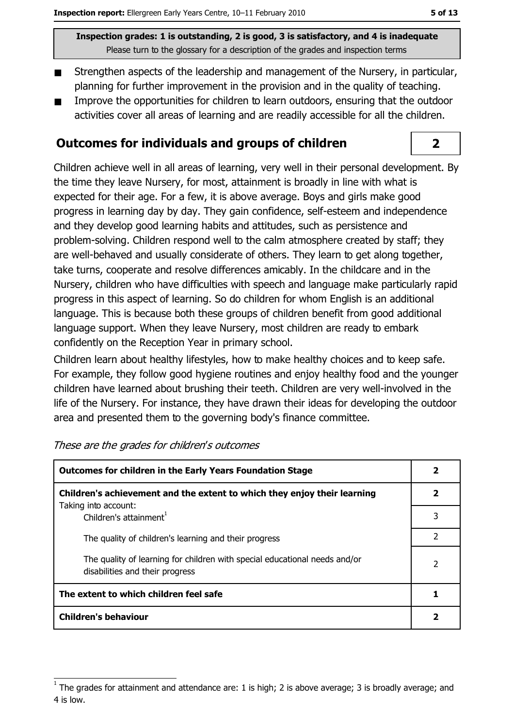- Strengthen aspects of the leadership and management of the Nursery, in particular,  $\blacksquare$ planning for further improvement in the provision and in the quality of teaching.
- Improve the opportunities for children to learn outdoors, ensuring that the outdoor activities cover all areas of learning and are readily accessible for all the children.

#### **Outcomes for individuals and groups of children**

Children achieve well in all areas of learning, very well in their personal development. By the time they leave Nursery, for most, attainment is broadly in line with what is expected for their age. For a few, it is above average. Boys and girls make good progress in learning day by day. They gain confidence, self-esteem and independence and they develop good learning habits and attitudes, such as persistence and problem-solving. Children respond well to the calm atmosphere created by staff; they are well-behaved and usually considerate of others. They learn to get along together, take turns, cooperate and resolve differences amicably. In the childcare and in the Nursery, children who have difficulties with speech and language make particularly rapid progress in this aspect of learning. So do children for whom English is an additional language. This is because both these groups of children benefit from good additional language support. When they leave Nursery, most children are ready to embark confidently on the Reception Year in primary school.

Children learn about healthy lifestyles, how to make healthy choices and to keep safe. For example, they follow good hygiene routines and enjoy healthy food and the younger children have learned about brushing their teeth. Children are very well-involved in the life of the Nursery. For instance, they have drawn their ideas for developing the outdoor area and presented them to the governing body's finance committee.

| <b>Outcomes for children in the Early Years Foundation Stage</b>                                              |   |
|---------------------------------------------------------------------------------------------------------------|---|
| Children's achievement and the extent to which they enjoy their learning                                      |   |
| Taking into account:<br>Children's attainment <sup>1</sup>                                                    |   |
| The quality of children's learning and their progress                                                         | 2 |
| The quality of learning for children with special educational needs and/or<br>disabilities and their progress |   |
| The extent to which children feel safe                                                                        |   |
| <b>Children's behaviour</b>                                                                                   |   |

These are the grades for children's outcomes

## $\overline{2}$

The grades for attainment and attendance are: 1 is high; 2 is above average; 3 is broadly average; and 4 is low.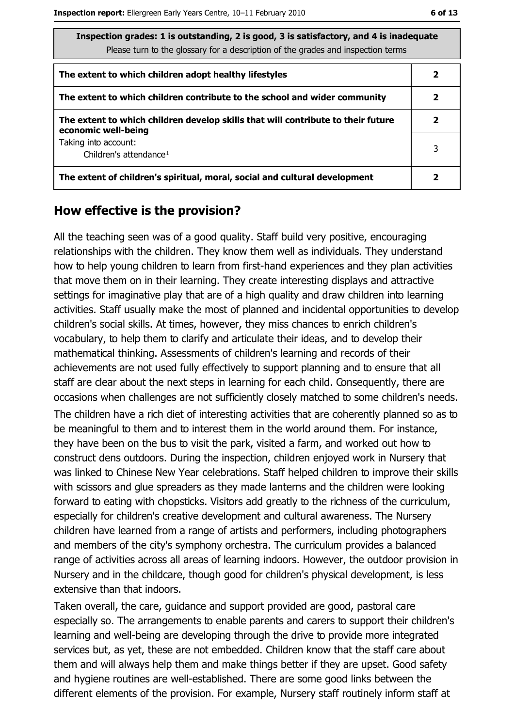| Inspection grades: 1 is outstanding, 2 is good, 3 is satisfactory, and 4 is inadequate |
|----------------------------------------------------------------------------------------|
| Please turn to the glossary for a description of the grades and inspection terms       |
|                                                                                        |

| The extent to which children adopt healthy lifestyles                                                   |  |
|---------------------------------------------------------------------------------------------------------|--|
| The extent to which children contribute to the school and wider community                               |  |
| The extent to which children develop skills that will contribute to their future<br>economic well-being |  |
| Taking into account:<br>Children's attendance <sup>1</sup>                                              |  |
| The extent of children's spiritual, moral, social and cultural development                              |  |

#### How effective is the provision?

All the teaching seen was of a good quality. Staff build very positive, encouraging relationships with the children. They know them well as individuals. They understand how to help young children to learn from first-hand experiences and they plan activities that move them on in their learning. They create interesting displays and attractive settings for imaginative play that are of a high quality and draw children into learning activities. Staff usually make the most of planned and incidental opportunities to develop children's social skills. At times, however, they miss chances to enrich children's vocabulary, to help them to clarify and articulate their ideas, and to develop their mathematical thinking. Assessments of children's learning and records of their achievements are not used fully effectively to support planning and to ensure that all staff are clear about the next steps in learning for each child. Consequently, there are occasions when challenges are not sufficiently closely matched to some children's needs.

The children have a rich diet of interesting activities that are coherently planned so as to be meaningful to them and to interest them in the world around them. For instance, they have been on the bus to visit the park, visited a farm, and worked out how to construct dens outdoors. During the inspection, children enjoyed work in Nursery that was linked to Chinese New Year celebrations. Staff helped children to improve their skills with scissors and glue spreaders as they made lanterns and the children were looking forward to eating with chopsticks. Visitors add greatly to the richness of the curriculum, especially for children's creative development and cultural awareness. The Nursery children have learned from a range of artists and performers, including photographers and members of the city's symphony orchestra. The curriculum provides a balanced range of activities across all areas of learning indoors. However, the outdoor provision in Nursery and in the childcare, though good for children's physical development, is less extensive than that indoors.

Taken overall, the care, guidance and support provided are good, pastoral care especially so. The arrangements to enable parents and carers to support their children's learning and well-being are developing through the drive to provide more integrated services but, as yet, these are not embedded. Children know that the staff care about them and will always help them and make things better if they are upset. Good safety and hygiene routines are well-established. There are some good links between the different elements of the provision. For example, Nursery staff routinely inform staff at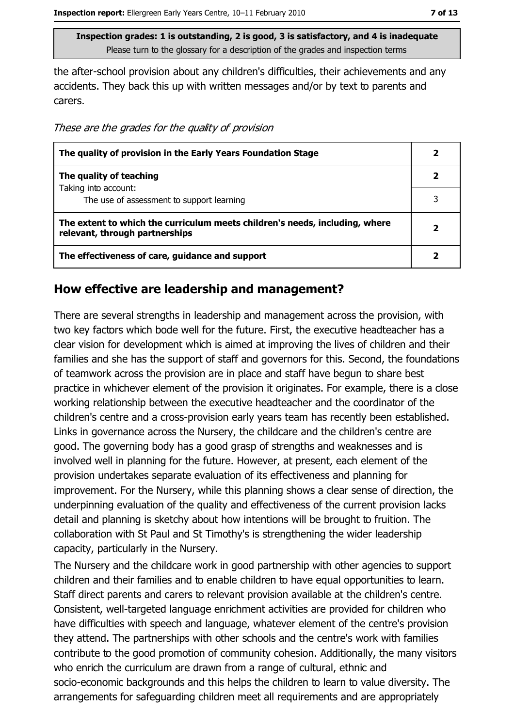the after-school provision about any children's difficulties, their achievements and any accidents. They back this up with written messages and/or by text to parents and carers.

These are the grades for the quality of provision

| The quality of provision in the Early Years Foundation Stage                                                  |  |
|---------------------------------------------------------------------------------------------------------------|--|
| The quality of teaching                                                                                       |  |
| Taking into account:<br>The use of assessment to support learning                                             |  |
| The extent to which the curriculum meets children's needs, including, where<br>relevant, through partnerships |  |
| The effectiveness of care, guidance and support                                                               |  |

#### How effective are leadership and management?

There are several strengths in leadership and management across the provision, with two key factors which bode well for the future. First, the executive headteacher has a clear vision for development which is aimed at improving the lives of children and their families and she has the support of staff and governors for this. Second, the foundations of teamwork across the provision are in place and staff have begun to share best practice in whichever element of the provision it originates. For example, there is a close working relationship between the executive headteacher and the coordinator of the children's centre and a cross-provision early years team has recently been established. Links in governance across the Nursery, the childcare and the children's centre are good. The governing body has a good grasp of strengths and weaknesses and is involved well in planning for the future. However, at present, each element of the provision undertakes separate evaluation of its effectiveness and planning for improvement. For the Nursery, while this planning shows a clear sense of direction, the underpinning evaluation of the quality and effectiveness of the current provision lacks detail and planning is sketchy about how intentions will be brought to fruition. The collaboration with St Paul and St Timothy's is strengthening the wider leadership capacity, particularly in the Nursery.

The Nursery and the childcare work in good partnership with other agencies to support children and their families and to enable children to have equal opportunities to learn. Staff direct parents and carers to relevant provision available at the children's centre. Consistent, well-targeted language enrichment activities are provided for children who have difficulties with speech and language, whatever element of the centre's provision they attend. The partnerships with other schools and the centre's work with families contribute to the good promotion of community cohesion. Additionally, the many visitors who enrich the curriculum are drawn from a range of cultural, ethnic and socio-economic backgrounds and this helps the children to learn to value diversity. The arrangements for safeguarding children meet all requirements and are appropriately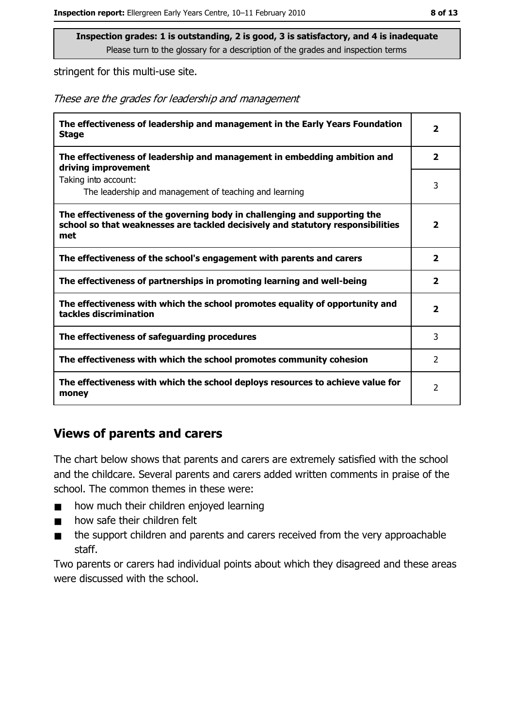stringent for this multi-use site.

These are the grades for leadership and management

| The effectiveness of leadership and management in the Early Years Foundation<br><b>Stage</b>                                                                        | $\overline{\mathbf{2}}$ |
|---------------------------------------------------------------------------------------------------------------------------------------------------------------------|-------------------------|
| The effectiveness of leadership and management in embedding ambition and<br>driving improvement                                                                     | $\overline{2}$          |
| Taking into account:<br>The leadership and management of teaching and learning                                                                                      | 3                       |
| The effectiveness of the governing body in challenging and supporting the<br>school so that weaknesses are tackled decisively and statutory responsibilities<br>met | $\overline{\mathbf{2}}$ |
| The effectiveness of the school's engagement with parents and carers                                                                                                | $\overline{\mathbf{2}}$ |
| The effectiveness of partnerships in promoting learning and well-being                                                                                              | $\overline{2}$          |
| The effectiveness with which the school promotes equality of opportunity and<br>tackles discrimination                                                              | 2                       |
| The effectiveness of safeguarding procedures                                                                                                                        | 3                       |
| The effectiveness with which the school promotes community cohesion                                                                                                 | 2                       |
| The effectiveness with which the school deploys resources to achieve value for<br>money                                                                             | 2                       |

#### **Views of parents and carers**

The chart below shows that parents and carers are extremely satisfied with the school and the childcare. Several parents and carers added written comments in praise of the school. The common themes in these were:

- how much their children enjoyed learning  $\blacksquare$
- how safe their children felt  $\blacksquare$
- the support children and parents and carers received from the very approachable  $\blacksquare$ staff.

Two parents or carers had individual points about which they disagreed and these areas were discussed with the school.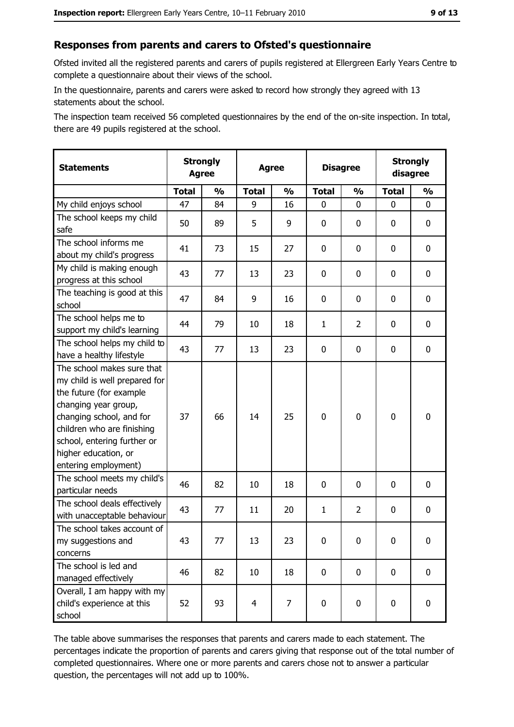## Responses from parents and carers to Ofsted's questionnaire

Ofsted invited all the registered parents and carers of pupils registered at Ellergreen Early Years Centre to complete a questionnaire about their views of the school.

In the questionnaire, parents and carers were asked to record how strongly they agreed with 13 statements about the school.

The inspection team received 56 completed questionnaires by the end of the on-site inspection. In total, there are 49 pupils registered at the school.

| <b>Statements</b>                                                                                                                                                                                                                                       | <b>Strongly</b><br><b>Agree</b> |               | <b>Agree</b>   |               | <b>Disagree</b> |                | <b>Strongly</b><br>disagree |               |
|---------------------------------------------------------------------------------------------------------------------------------------------------------------------------------------------------------------------------------------------------------|---------------------------------|---------------|----------------|---------------|-----------------|----------------|-----------------------------|---------------|
|                                                                                                                                                                                                                                                         | <b>Total</b>                    | $\frac{0}{0}$ | <b>Total</b>   | $\frac{0}{0}$ | <b>Total</b>    | $\frac{0}{0}$  | <b>Total</b>                | $\frac{1}{2}$ |
| My child enjoys school                                                                                                                                                                                                                                  | 47                              | 84            | 9              | 16            | $\mathbf 0$     | 0              | $\mathbf{0}$                | 0             |
| The school keeps my child<br>safe                                                                                                                                                                                                                       | 50                              | 89            | 5              | 9             | $\mathbf 0$     | 0              | 0                           | $\mathbf 0$   |
| The school informs me<br>about my child's progress                                                                                                                                                                                                      | 41                              | 73            | 15             | 27            | $\mathbf 0$     | 0              | 0                           | 0             |
| My child is making enough<br>progress at this school                                                                                                                                                                                                    | 43                              | 77            | 13             | 23            | $\mathbf 0$     | 0              | $\mathbf 0$                 | 0             |
| The teaching is good at this<br>school                                                                                                                                                                                                                  | 47                              | 84            | 9              | 16            | 0               | 0              | $\Omega$                    | 0             |
| The school helps me to<br>support my child's learning                                                                                                                                                                                                   | 44                              | 79            | 10             | 18            | $\mathbf{1}$    | $\overline{2}$ | 0                           | $\mathbf 0$   |
| The school helps my child to<br>have a healthy lifestyle                                                                                                                                                                                                | 43                              | 77            | 13             | 23            | $\mathbf 0$     | 0              | 0                           | $\mathbf 0$   |
| The school makes sure that<br>my child is well prepared for<br>the future (for example<br>changing year group,<br>changing school, and for<br>children who are finishing<br>school, entering further or<br>higher education, or<br>entering employment) | 37                              | 66            | 14             | 25            | $\mathbf 0$     | 0              | $\mathbf 0$                 | $\mathbf 0$   |
| The school meets my child's<br>particular needs                                                                                                                                                                                                         | 46                              | 82            | 10             | 18            | $\mathbf 0$     | 0              | $\Omega$                    | $\mathbf 0$   |
| The school deals effectively<br>with unacceptable behaviour                                                                                                                                                                                             | 43                              | 77            | 11             | 20            | $\mathbf{1}$    | $\overline{2}$ | 0                           | $\mathbf 0$   |
| The school takes account of<br>my suggestions and<br>concerns                                                                                                                                                                                           | 43                              | 77            | 13             | 23            | $\mathbf 0$     | 0              | 0                           | $\bf{0}$      |
| The school is led and<br>managed effectively                                                                                                                                                                                                            | 46                              | 82            | 10             | 18            | $\mathbf 0$     | $\mathbf 0$    | $\mathbf 0$                 | $\mathbf 0$   |
| Overall, I am happy with my<br>child's experience at this<br>school                                                                                                                                                                                     | 52                              | 93            | $\overline{4}$ | 7             | $\mathbf 0$     | 0              | $\mathbf 0$                 | $\mathbf 0$   |

The table above summarises the responses that parents and carers made to each statement. The percentages indicate the proportion of parents and carers giving that response out of the total number of completed questionnaires. Where one or more parents and carers chose not to answer a particular question, the percentages will not add up to 100%.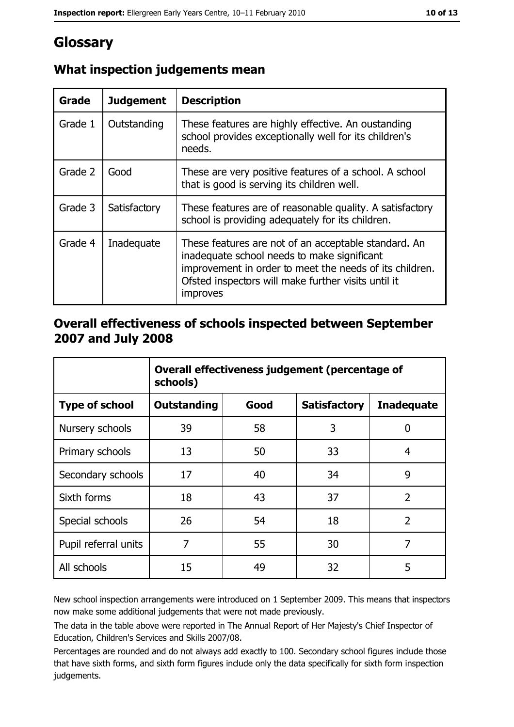# Glossary

| Grade   | <b>Judgement</b> | <b>Description</b>                                                                                                                                                                                                                |
|---------|------------------|-----------------------------------------------------------------------------------------------------------------------------------------------------------------------------------------------------------------------------------|
| Grade 1 | Outstanding      | These features are highly effective. An oustanding<br>school provides exceptionally well for its children's<br>needs.                                                                                                             |
| Grade 2 | Good             | These are very positive features of a school. A school<br>that is good is serving its children well.                                                                                                                              |
| Grade 3 | Satisfactory     | These features are of reasonable quality. A satisfactory<br>school is providing adequately for its children.                                                                                                                      |
| Grade 4 | Inadequate       | These features are not of an acceptable standard. An<br>inadequate school needs to make significant<br>improvement in order to meet the needs of its children.<br>Ofsted inspectors will make further visits until it<br>improves |

## What inspection judgements mean

#### Overall effectiveness of schools inspected between September 2007 and July 2008

|                       | Overall effectiveness judgement (percentage of<br>schools) |      |                     |                   |
|-----------------------|------------------------------------------------------------|------|---------------------|-------------------|
| <b>Type of school</b> | <b>Outstanding</b>                                         | Good | <b>Satisfactory</b> | <b>Inadequate</b> |
| Nursery schools       | 39                                                         | 58   | 3                   | 0                 |
| Primary schools       | 13                                                         | 50   | 33                  | 4                 |
| Secondary schools     | 17                                                         | 40   | 34                  | 9                 |
| Sixth forms           | 18                                                         | 43   | 37                  | $\overline{2}$    |
| Special schools       | 26                                                         | 54   | 18                  | $\overline{2}$    |
| Pupil referral units  | 7                                                          | 55   | 30                  | 7                 |
| All schools           | 15                                                         | 49   | 32                  | 5                 |

New school inspection arrangements were introduced on 1 September 2009. This means that inspectors now make some additional judgements that were not made previously.

The data in the table above were reported in The Annual Report of Her Majesty's Chief Inspector of Education, Children's Services and Skills 2007/08.

Percentages are rounded and do not always add exactly to 100. Secondary school figures include those that have sixth forms, and sixth form figures include only the data specifically for sixth form inspection judgements.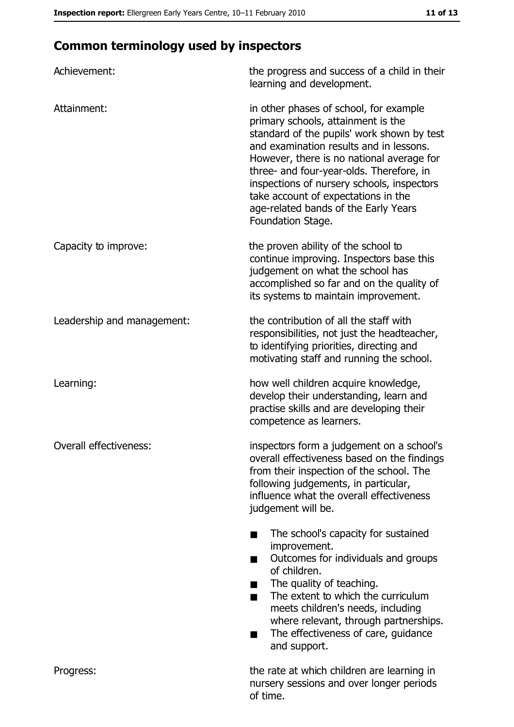# **Common terminology used by inspectors**

| Achievement:               | the progress and success of a child in their<br>learning and development.                                                                                                                                                                                                                                                                                                                                        |
|----------------------------|------------------------------------------------------------------------------------------------------------------------------------------------------------------------------------------------------------------------------------------------------------------------------------------------------------------------------------------------------------------------------------------------------------------|
| Attainment:                | in other phases of school, for example<br>primary schools, attainment is the<br>standard of the pupils' work shown by test<br>and examination results and in lessons.<br>However, there is no national average for<br>three- and four-year-olds. Therefore, in<br>inspections of nursery schools, inspectors<br>take account of expectations in the<br>age-related bands of the Early Years<br>Foundation Stage. |
| Capacity to improve:       | the proven ability of the school to<br>continue improving. Inspectors base this<br>judgement on what the school has<br>accomplished so far and on the quality of<br>its systems to maintain improvement.                                                                                                                                                                                                         |
| Leadership and management: | the contribution of all the staff with<br>responsibilities, not just the headteacher,<br>to identifying priorities, directing and<br>motivating staff and running the school.                                                                                                                                                                                                                                    |
| Learning:                  | how well children acquire knowledge,<br>develop their understanding, learn and<br>practise skills and are developing their<br>competence as learners.                                                                                                                                                                                                                                                            |
| Overall effectiveness:     | inspectors form a judgement on a school's<br>overall effectiveness based on the findings<br>from their inspection of the school. The<br>following judgements, in particular,<br>influence what the overall effectiveness<br>judgement will be.                                                                                                                                                                   |
|                            | The school's capacity for sustained<br>improvement.<br>Outcomes for individuals and groups<br>of children.<br>The quality of teaching.<br>The extent to which the curriculum<br>■<br>meets children's needs, including<br>where relevant, through partnerships.<br>The effectiveness of care, guidance<br>and support.                                                                                           |
| Progress:                  | the rate at which children are learning in<br>nursery sessions and over longer periods<br>of time.                                                                                                                                                                                                                                                                                                               |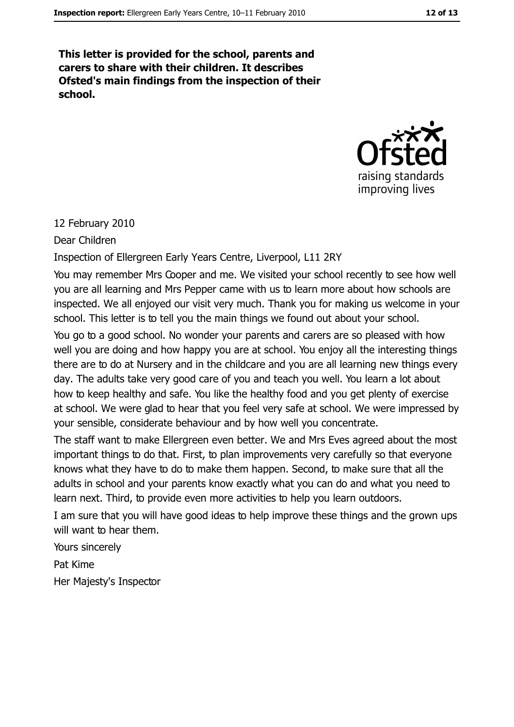This letter is provided for the school, parents and carers to share with their children. It describes Ofsted's main findings from the inspection of their school.



#### 12 February 2010

Dear Children

Inspection of Ellergreen Early Years Centre, Liverpool, L11 2RY

You may remember Mrs Cooper and me. We visited your school recently to see how well you are all learning and Mrs Pepper came with us to learn more about how schools are inspected. We all enjoyed our visit very much. Thank you for making us welcome in your school. This letter is to tell you the main things we found out about your school.

You go to a good school. No wonder your parents and carers are so pleased with how well you are doing and how happy you are at school. You enjoy all the interesting things there are to do at Nursery and in the childcare and you are all learning new things every day. The adults take very good care of you and teach you well. You learn a lot about how to keep healthy and safe. You like the healthy food and you get plenty of exercise at school. We were glad to hear that you feel very safe at school. We were impressed by your sensible, considerate behaviour and by how well you concentrate.

The staff want to make Ellergreen even better. We and Mrs Eves agreed about the most important things to do that. First, to plan improvements very carefully so that everyone knows what they have to do to make them happen. Second, to make sure that all the adults in school and your parents know exactly what you can do and what you need to learn next. Third, to provide even more activities to help you learn outdoors.

I am sure that you will have good ideas to help improve these things and the grown ups will want to hear them.

Yours sincerely Pat Kime Her Majesty's Inspector